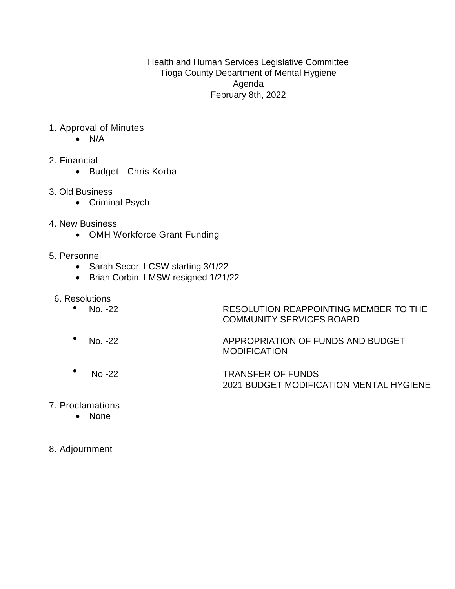Health and Human Services Legislative Committee Tioga County Department of Mental Hygiene Agenda February 8th, 2022

- 1. Approval of Minutes
	- $\bullet$  N/A
- 2. Financial
	- Budget Chris Korba
- 3. Old Business
	- Criminal Psych
- 4. New Business
	- OMH Workforce Grant Funding
- 5. Personnel
	- Sarah Secor, LCSW starting 3/1/22
	- Brian Corbin, LMSW resigned 1/21/22
- 6. Resolutions

| • No. $-22$ | RESOLUTION REAPPOINTING MEMBER TO THE |
|-------------|---------------------------------------|
|             | <b>COMMUNITY SERVICES BOARD</b>       |

- No. -22 APPROPRIATION OF FUNDS AND BUDGET MODIFICATION
- No -22 TRANSFER OF FUNDS 2021 BUDGET MODIFICATION MENTAL HYGIENE
- 7. Proclamations
	- None
- 8. Adjournment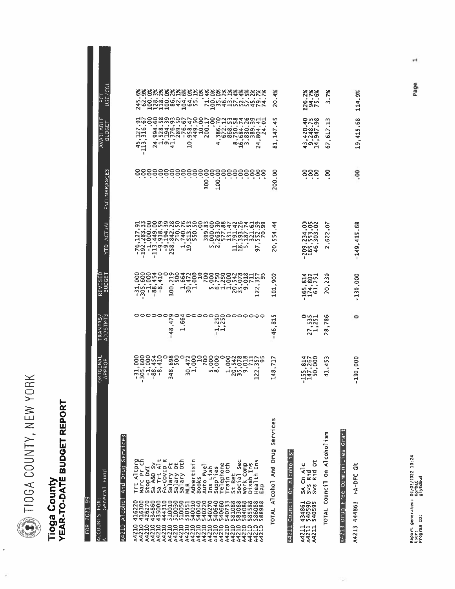**DEA COUNTY, NEW YORK** 

## Tioga County<br>YEAR-TO-DATE BUDGET REPORT

FOR 2021 99

| General Fund<br>ACCOUNTS FOR:<br>A                                                                                           | ORIGINAL<br>APPROP                                                                           | S<br>TRANFRS<br><b>ADJSTMT</b>               | REVISED<br>UDGET<br>ᄒ                                       | ACTUAI<br>Ê                                                                            | ENCUMBRANCES          | ш<br>AVAILABL<br><b>BUDGET</b>                                                                  | ğ<br>ISE/<br>ں<br>م                                                                                                   |
|------------------------------------------------------------------------------------------------------------------------------|----------------------------------------------------------------------------------------------|----------------------------------------------|-------------------------------------------------------------|----------------------------------------------------------------------------------------|-----------------------|-------------------------------------------------------------------------------------------------|-----------------------------------------------------------------------------------------------------------------------|
| And Drug Services<br>A4210 Alcohol                                                                                           |                                                                                              |                                              |                                                             |                                                                                        |                       |                                                                                                 |                                                                                                                       |
| Trt Altprg<br>Narc Pr Ch<br><b>IMO</b> dois<br>41622000<br>442623000<br>442443<br>000000<br>222222<br>22222                  |                                                                                              |                                              |                                                             |                                                                                        |                       | 127.<br>$\sim$ $ \sim$<br>mm<br>$4\frac{1}{1}$                                                  |                                                                                                                       |
| Sa A&D Sy<br>Sa Trt Alt                                                                                                      |                                                                                              | 000000                                       |                                                             | $\frac{1}{2}$                                                                          |                       | $\bullet$<br>$\bullet$<br>युनंबन्<br>Ñ                                                          |                                                                                                                       |
| FA-COVID<br>Salary Ft<br>Salary Oth<br>Salary Oth                                                                            | ۰<br>348                                                                                     | ၈၀<br>47<br>$\bullet$<br>∞<br>4              | 300                                                         |                                                                                        |                       | $\sim$<br>$\blacksquare$                                                                        |                                                                                                                       |
| Advertisin<br>t<br><b>Books</b><br><b>MLR</b><br>540040                                                                      | 00044 0N 49 K00<br>00044 0N 49 K00<br>٠<br>$\approx -1$                                      | $\bullet$<br>H                               | 00044 222204000<br>ਜੰਨੂੰਜੰ                                  | $-10$<br>ᆋ                                                                             |                       | $\bullet$<br>្ក                                                                                 |                                                                                                                       |
| Auto Fuel<br>540270<br>540270<br>540640<br>A4210<br>A4210<br>A4210                                                           |                                                                                              |                                              |                                                             |                                                                                        | <b>200</b>            |                                                                                                 |                                                                                                                       |
| Ins Liab<br>Supplies<br>Telephone<br>Train Oth                                                                               | ×<br><b>500</b>                                                                              | $\mathbf{r}$<br>ᆏᆏ                           | ٠                                                           | $\bullet$<br><b>IN</b>                                                                 | 8                     | ٠<br>4                                                                                          |                                                                                                                       |
| St Ret<br>Social Sec                                                                                                         | oonggrip<br>Sanggrip<br>Sanggrip<br>×<br>a,<br>٠<br>$ \cos$<br>$\overline{N}$ $\overline{m}$ |                                              | ORROMAGELAM<br>٠<br>۰<br>nodacno<br>൮൚                      | awaananananaanananananana<br>$\frac{1}{12}$                                            |                       |                                                                                                 |                                                                                                                       |
| Health Ins<br>Work Comp<br>Disab Ins<br>Eap<br>A421                                                                          | $\overline{2}$                                                                               |                                              | $\sim$<br>Ñ                                                 | 56                                                                                     | 888888888888888888888 | $\bullet$<br>4<br>Ń                                                                             | <b>&amp;&amp;&amp;&amp;&amp;&amp;&amp;&amp;&amp;&amp;&amp;&amp;&amp;&amp;&amp;&amp;&amp;&amp;&amp;</b><br>Romenhunger |
| TOTAL Alcohol And Drug Services                                                                                              | Ë.<br>148.                                                                                   | m<br>$\overline{\mathbf{5}}$<br>٠<br>46<br>1 | ë.<br>$\overline{5}$                                        | 44<br>٠.<br>554<br>20                                                                  | 200.00                | ь٥<br>۳<br>.147<br>忌                                                                            | $-4%$<br>20                                                                                                           |
| l on Alcoholism<br>A4211 Counci                                                                                              |                                                                                              |                                              |                                                             |                                                                                        |                       |                                                                                                 |                                                                                                                       |
| $\overline{\sigma}$<br>SA Cn Alc<br>Rnd<br>Svs Rnd<br>Svs Rnd<br>434861<br>5405995<br>540595<br><b>A4211</b><br><b>A4211</b> | <b>4200</b><br>820<br>$\frac{165}{140}$                                                      | ໐ທ⊣<br>mm<br>mN<br>٠<br>$\frac{27}{1}$       | 8221<br>2021<br>$\blacksquare$<br>$\bullet$<br>1674<br>1741 | ೦೮೦<br>٠<br>$\bullet$<br>433<br>៳៲៱<br>๛๛<br>$\blacksquare$<br>$\bullet$<br>20946<br>٠ | 888                   | on∞<br>ゃいの<br>٠<br>$\bullet$<br>٠<br>0007<br><b>ANO</b><br>۰<br>$\sim$<br>×<br>유<br><b>아</b> 이석 | నిని<br>$\frac{26}{35}$                                                                                               |
| TOTAL Council On Alcoholism                                                                                                  | m<br>45<br>٠<br>$\ddot{4}$                                                                   | ڡ<br>78<br>٠<br>$\frac{8}{2}$                | 239<br>20                                                   | ,622.07<br>$\sim$                                                                      | 8                     | m<br>1<br>×<br>$-617$<br>G7                                                                     | X<br>$\sim$                                                                                                           |
| A4213 Drug Free Communities Grant                                                                                            |                                                                                              |                                              |                                                             |                                                                                        |                       |                                                                                                 |                                                                                                                       |

Page

19,415.68 114.9%

 $00.$ 

 $-149, 415.68$ 

 $-130,000$ 

 $\circ$ 

 $-130,000$ 

A4213 444863 FA-DFC GR

 $^{\rm -4}$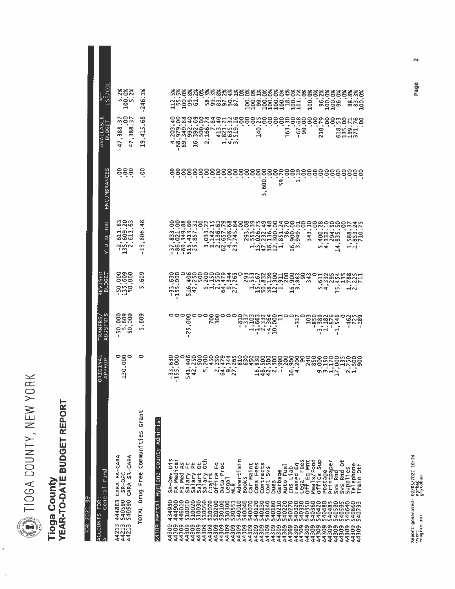DIIOGA COUNTY, NEW YORK

l,

## **Tioga County<br>YEAR-TO-DATE BUDGET REPORT**

FOR 2021 99

| General Fund<br>FOR:<br>ACCOUNTS<br>A                                                 | ORIGINAL<br>APPROP                                                                                         | <b>STMTS</b><br><b>RANFRS</b><br>ADJ. | REVISED<br><b>BUDGET</b>                                                                                                           | ACTUAL<br><b>OLX</b>                                    | ENCUMBRANCES                                                         | Ш<br>AVAILABLE<br>BUDGET             | g<br>ក្ខិត្ត                                      |
|---------------------------------------------------------------------------------------|------------------------------------------------------------------------------------------------------------|---------------------------------------|------------------------------------------------------------------------------------------------------------------------------------|---------------------------------------------------------|----------------------------------------------------------------------|--------------------------------------|---------------------------------------------------|
| CARA FA-CARA<br>SR-DFC<br>144863<br>5405900<br>540590<br>¢<br>A4213<br>A4213<br>A4213 | ိုင္ပိေ<br>$\frac{1}{2}$                                                                                   | ខ្លីខ្លីខ្ល<br>ៜ៎៷៎៝៓ៜ                | ဒီဒီဒီ<br>၁၀၀<br>. .<br>$\overline{\mathsf{S}}$                                                                                    | mom<br>قصة<br>181<br>181<br>$\overline{N}$<br>்று       |                                                                      | 47,388                               |                                                   |
| CARA SR-CARA<br>ທທ                                                                    |                                                                                                            |                                       | ٠                                                                                                                                  | $\bullet$<br>×                                          | 888                                                                  | いつい<br>mom<br>388<br>$\bullet$<br>47 | 288<br>ngn                                        |
| TOTAL Drug Free Communities                                                           | o<br>Grant                                                                                                 | 609<br>ഗ                              | 609<br>١n                                                                                                                          | $\frac{8}{4}$<br>$rac{1}{806}$<br>$\sim$<br>m<br>⊣<br>٠ | 8                                                                    | .68<br>,415<br>ب                     | క<br>246.<br>I.                                   |
| Hygiene County Administ<br>A4309 Mental                                               |                                                                                                            |                                       |                                                                                                                                    |                                                         |                                                                      |                                      |                                                   |
| 6<br>SA-Dev<br>434900<br>444900<br>4449010<br>A4309                                   | 88<br>89<br>$\frac{1}{2}$<br>n,<br>mm<br>14                                                                | ိေတွေ                                 | 630<br>000<br>ີ້<br>mm<br>1 H<br>л                                                                                                 |                                                         |                                                                      |                                      |                                                   |
|                                                                                       |                                                                                                            |                                       |                                                                                                                                    |                                                         |                                                                      | 4.88                                 |                                                   |
| FA Nedicali<br>Fa Ned As<br>Fa Nety Pt<br>Salary Oth<br>Salary Oth<br>Chairs          | 541                                                                                                        | 'n,<br>LN,<br>$\sim$<br>٠             | ٠<br>ی ص<br>모                                                                                                                      |                                                         |                                                                      |                                      |                                                   |
|                                                                                       |                                                                                                            | 000                                   | ٠                                                                                                                                  |                                                         |                                                                      | ٠<br>$\frac{9}{16}$                  |                                                   |
|                                                                                       |                                                                                                            |                                       |                                                                                                                                    | $\blacksquare$                                          |                                                                      | $\sim$                               | ٠                                                 |
| Office Eq<br>Pata Proc                                                                |                                                                                                            | 200                                   |                                                                                                                                    |                                                         |                                                                      |                                      |                                                   |
|                                                                                       |                                                                                                            |                                       | $\blacksquare$<br>٠<br>ڞ                                                                                                           | ٠<br>٠                                                  |                                                                      |                                      |                                                   |
| Legal<br>MLR<br>Advertisin                                                            |                                                                                                            | 000                                   | <b>SHNT<sub>ON</sub></b>                                                                                                           | ٠<br>mangan                                             |                                                                      | 74m                                  |                                                   |
| c                                                                                     |                                                                                                            |                                       |                                                                                                                                    |                                                         |                                                                      |                                      |                                                   |
| <b>Books</b>                                                                          |                                                                                                            |                                       |                                                                                                                                    |                                                         |                                                                      |                                      |                                                   |
| Car Maint<br>Cons Fees                                                                |                                                                                                            |                                       |                                                                                                                                    |                                                         |                                                                      |                                      |                                                   |
| Contracts                                                                             |                                                                                                            | 77277<br>п                            |                                                                                                                                    | <b>HALWA-1</b>                                          | 600<br>∾                                                             | $\frac{6}{5}$<br>ᅱ                   |                                                   |
| $5\sqrt{5}$<br>Cont                                                                   | 44                                                                                                         |                                       |                                                                                                                                    |                                                         | $\bullet$                                                            |                                      |                                                   |
| Dues                                                                                  |                                                                                                            |                                       |                                                                                                                                    |                                                         |                                                                      |                                      |                                                   |
| Garbage<br>Auto Fuel                                                                  |                                                                                                            |                                       |                                                                                                                                    |                                                         | ð.<br>ūn                                                             |                                      |                                                   |
| Ins Liab                                                                              |                                                                                                            |                                       |                                                                                                                                    | ᆗ                                                       |                                                                      | قا                                   |                                                   |
| Leased Eq                                                                             |                                                                                                            |                                       | ٠<br>ശ്രഹ                                                                                                                          | ۰<br>ഗന                                                 | ÷                                                                    |                                      |                                                   |
| Legal Fees<br>Off Eq Mnt                                                              |                                                                                                            |                                       |                                                                                                                                    |                                                         |                                                                      | င်ခိ                                 |                                                   |
|                                                                                       |                                                                                                            |                                       |                                                                                                                                    | 5828<br>m<br>4<br>m                                     |                                                                      |                                      | $\frac{100}{100}$                                 |
| Weals/Food<br>Office Sup                                                              |                                                                                                            | ٠                                     | ۰                                                                                                                                  | ٠                                                       |                                                                      | 210                                  |                                                   |
| Postage                                                                               |                                                                                                            |                                       | $\bullet$<br>いす                                                                                                                    | $\bullet$<br><b>By</b><br>いす                            |                                                                      |                                      |                                                   |
| Printpape<br>Svs Rind                                                                 |                                                                                                            |                                       | w                                                                                                                                  | <b>828885</b><br>٠<br>4 wum<br>0 wum<br>0 u 4 m<br>4    |                                                                      |                                      | နို့ဒ္ဌာန                                         |
|                                                                                       |                                                                                                            |                                       | $\blacksquare$                                                                                                                     |                                                         |                                                                      | ٠<br>sugar<br>Chan                   |                                                   |
| Svs Rnd Ot<br>Supplies<br>Telephone                                                   |                                                                                                            |                                       | $\vec{AB}$                                                                                                                         | $\mathbf{r}$<br>ਜੰਜੰ                                    |                                                                      |                                      |                                                   |
| Train Oth<br>A4309<br>A4309                                                           | 44 v uzuč džadvi d.<br>1988 - Alexandra Andro Sandar Anglicija<br>1988 - Alexandra Anglicija (1988 - 1989) |                                       | ANNUNTATO MENGENDO DE LA GENERALA EN 1999<br>CONDICIO DE LA GENERALA DE LA GENERALA EN 1999<br>COOOOOOOTTE COMPUSCHOOMONO HARAHRAN | いひと<br>$\mathbf{r}$<br>$\omega \wedge \phi$<br>8857     | \$\$\$\$\$\$\$\$\$\$\$\$\$\$\$\$\$\$\$\$\$\$\$\$\$\$\$\$\$\$\$\$\$\$ |                                      | <u>፠፠</u> ፠፠፠፠፠፠፠፠፠፠፠፠፠፠፠፠፠፠፠፠፠፠፠፠፠፠፠፠፠፠<br>88201 |
|                                                                                       |                                                                                                            |                                       |                                                                                                                                    |                                                         |                                                                      |                                      |                                                   |

Page

 $\sim$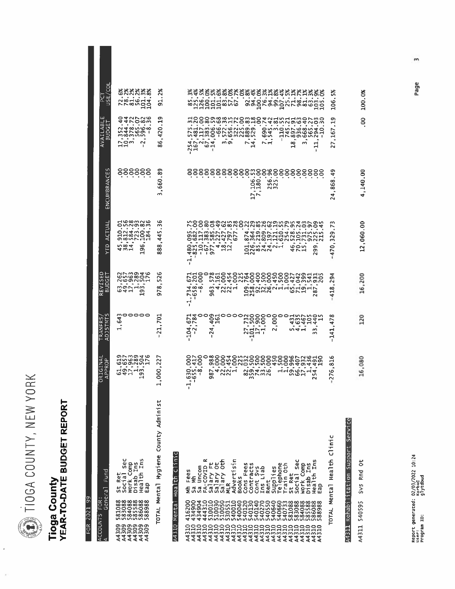DIOGA COUNTY, NEW YORK

## Tioga County<br>YEAR-TO-DATE BUDGET REPORT

| ia<br>la<br>2021<br>FOR <sup>1</sup>                                                                                                                                                                                                                                                                                                                        |                                                                                                                                                                                                                                                                                                                                                                                                           |                                                                                                                                    |                                                                                                                                                                                 |                                                                                                                        |                                                                                                                                             |                                                                                                                                   |                                                                                                                                 |
|-------------------------------------------------------------------------------------------------------------------------------------------------------------------------------------------------------------------------------------------------------------------------------------------------------------------------------------------------------------|-----------------------------------------------------------------------------------------------------------------------------------------------------------------------------------------------------------------------------------------------------------------------------------------------------------------------------------------------------------------------------------------------------------|------------------------------------------------------------------------------------------------------------------------------------|---------------------------------------------------------------------------------------------------------------------------------------------------------------------------------|------------------------------------------------------------------------------------------------------------------------|---------------------------------------------------------------------------------------------------------------------------------------------|-----------------------------------------------------------------------------------------------------------------------------------|---------------------------------------------------------------------------------------------------------------------------------|
| Fund<br>General<br>FOR:<br>ACCOUNTS<br>A                                                                                                                                                                                                                                                                                                                    | ORIGINAL<br>APPROP                                                                                                                                                                                                                                                                                                                                                                                        | TRANFRS/<br>ADJSTNTS                                                                                                               | REVISED<br>BUDGET                                                                                                                                                               | <b>ACTUAL</b><br><b>ALA</b>                                                                                            | n<br>ш<br>ENCUMBRANCI                                                                                                                       | ш<br>LABLI<br>BUDGE <sup>-</sup><br>AVAIL                                                                                         | ē<br>س<br>س ر<br>šī<br>Δ.                                                                                                       |
| Sec<br>Health Ins<br>Work Comp<br>Disab Ins<br>St Ret<br>Eap<br>581088888<br>5830888888<br>58305558888<br>5885588888<br>588888888<br>0000000<br>0000000<br>444444                                                                                                                                                                                           | 869925<br>958805<br>95889<br>$\bullet$<br>$\bullet$<br>٠<br>×<br><b>GAH-3</b><br>$\mathbf{\mathbf{\mathbf{\mathbf{\mathbf{\mathbf{-1}}}}}}$                                                                                                                                                                                                                                                               | ္မာဝဝဝဝ<br>ဖိ                                                                                                                      | 2523346<br>2528257<br>253825<br>$\bullet$ $\bullet$<br>$\blacksquare$<br>$\overline{\phantom{a}}$<br>641 9                                                                      | ಗಳಿ <b>ಹಾಗ</b> ಗಳಿ<br>owwowm<br>$\bullet$<br>÷<br>٠.<br>×<br>$\bullet$<br>$\bullet$<br><b>1000</b><br>ه<br>4 w 4<br>o, | 888888                                                                                                                                      | <b>4470899</b><br>٠<br>$\bullet$<br>٠<br>$\mathbf{u}$<br>٠<br>$\bullet$<br>$\mathbf{p}_1$<br>- 44<br>٠<br>ng<br>Ha<br>$\sim$<br>п | 8888888<br>GNNNm8                                                                                                               |
| TOTAL Mental Hygiene County Administ<br>Health Clinic<br>A4310 Menta                                                                                                                                                                                                                                                                                        | 22<br>1,000                                                                                                                                                                                                                                                                                                                                                                                               | 701<br>٠<br>⊣<br>$\sim$<br>٠                                                                                                       | φ<br>$\tilde{\mathbf{S}}$<br>$\frac{8}{9}$                                                                                                                                      | ڡ<br>m<br>445<br>٠<br>$\frac{80}{60}$                                                                                  | 88<br>660<br>$\bullet$<br>m                                                                                                                 | o٦<br>ᅴ<br>$\ddot{\phantom{a}}$<br>420<br>٠.<br>86                                                                                | %<br>2%<br>5                                                                                                                    |
| Mental Health Clinic<br>Advertisin<br>FA-COVID<br>Salary Ft<br>Salary Ot<br>Salary Oth<br>MLR<br>St Ret<br>Social Sec<br>work Comp<br>Disab Ins<br>Health Ins<br>Health Ins<br>Contracts<br>Supplies<br>Telephone<br>Train oth<br>Cons Fees<br>Sa Uncom<br>Cont Sys<br>Ins Liab<br>n<br>Fee<br>€<br><b>Books</b><br>Rent<br>Eap<br>្លឹ<br>€<br><b>TOTAL</b> | $-1,630,000$<br>$-655,417$<br>$-8,000$<br>$-8,000$<br>$\begin{bmatrix} 1 & 0 & 0 & 0 \\ 0 & 0 & 0 & 0 \\ 0 & 0 & 0 & 0 \\ 0 & 0 & 0 & 0 \\ 0 & 0 & 0 & 0 \\ 0 & 0 & 0 & 0 \\ 0 & 0 & 0 & 0 \\ 0 & 0 & 0 & 0 \\ 0 & 0 & 0 & 0 \\ 0 & 0 & 0 & 0 \\ 0 & 0 & 0 & 0 \\ 0 & 0 & 0 & 0 \\ 0 & 0 & 0 & 0 & 0 \\ 0 & 0 & 0 & 0 & 0 \\ 0 & 0 & 0 & 0 & 0 \\ 0 & 0 & 0 & 0 & 0 \\ 0 & 0 & 0 & $<br>m<br>o.<br>N<br>п | ٠<br>٠<br>$\bullet$<br>$\mathbf{r}$<br>٠<br>٠<br>٠<br>٠<br>٠<br>104<br>4<br>ਅਰੁਸ਼ਜ਼<br>いすい<br>$\sim$<br>w<br>Ń<br>m<br>급<br>л<br>٠ | coo waqaayaadaadaadaamaay<br>Cao waqaayaadaadaanaamaay<br>$\bullet$<br>$\blacksquare$<br>٠<br>٠<br>40000<br>M < N < 1<br>$m - 1$<br>ه<br>$\sim$<br>$\frac{7.76}{7.6}$<br>െ<br>٠ | ×<br>×,<br>$\bullet$<br>HOWARNH<br>425<br>ō<br>ō<br>N<br>$\blacksquare$<br>T.<br>гH,<br>$\blacksquare$                 | 8888888888888888888888<br>$\bullet$<br>$\bullet$<br>٠<br>٠<br>٠<br>$\frac{6}{180}$<br><b>u</b><br>$\frac{5}{32}$<br>٠<br>٠<br>$\frac{7}{7}$ | ٠<br>i.<br>$\bullet$<br>ოთ<br>$\sim$ 4<br>$\sim$<br>トー<br>œ<br>$\mathbf{1}$<br>H<br>$\overline{\phantom{0}}$<br>٠<br>ť            | おおなななななのとのおおなななななななななななな<br>٠<br>$\bullet$<br>×<br>$\bullet$<br>$\blacksquare$<br>٠<br>٠<br>$\bullet$<br>$\bullet$<br>$\bullet$ |
| ξ<br>A4311 Rehabilitation Support Servi                                                                                                                                                                                                                                                                                                                     | ڡ<br>51<br>٠<br>76<br>Z                                                                                                                                                                                                                                                                                                                                                                                   | ∞<br>$\frac{1}{4}$<br>×<br>141                                                                                                     | ⅎ<br>$\frac{3}{2}$<br>418                                                                                                                                                       | š<br>$\overline{\phantom{1}}$<br>ō<br>2<br>m<br>470<br>1                                                               | $\frac{9}{4}$<br>868<br>×,<br>4<br>$\sim$                                                                                                   | ᡡ<br>Ë,<br>167<br>27.                                                                                                             | 5%<br>106                                                                                                                       |
| ő<br>Sys Rnd<br>540595<br>A4311                                                                                                                                                                                                                                                                                                                             | 16,080                                                                                                                                                                                                                                                                                                                                                                                                    | 20                                                                                                                                 | 16,200                                                                                                                                                                          | 12,060.00                                                                                                              | 4,140.00                                                                                                                                    | S.                                                                                                                                | 100.0%                                                                                                                          |

Page

 $\mathsf{m}$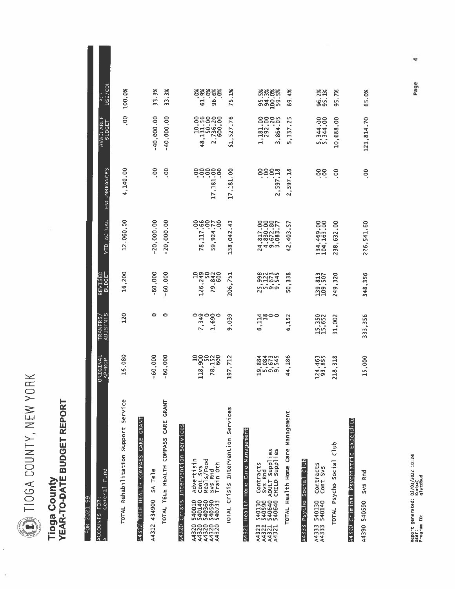DIOGA COUNTY, NEW YORK

ł,

ł

### **Tioga County<br>YEAR-TO-DATE BUDGET REPORT**

| FUK ZUZI 99                                                                                          |                               |                                   |                          |                                               |                                   |                                                                                   |                              |
|------------------------------------------------------------------------------------------------------|-------------------------------|-----------------------------------|--------------------------|-----------------------------------------------|-----------------------------------|-----------------------------------------------------------------------------------|------------------------------|
| Fund<br>General<br>FOR:<br>ACCOUNTS<br>A                                                             | ORIGINAL<br>APPROP            | <b>ADJSTMTS</b><br><b>TRANFRS</b> | REVISED<br><b>BUDGET</b> | YTD ACTUAL                                    | ENCUMBRANCES                      | <b>AVAILABLE</b><br><b>BUDGET</b>                                                 | פכד<br>USE/COL               |
| Service<br>TOTAL Rehabilitation Support                                                              | 16,080                        | 120                               | 16,200                   | 12,060.00                                     | 4,140.00                          | S                                                                                 | 100.0%                       |
| TELE HEALTH COMPASS CARE GRANT<br>A4312                                                              |                               |                                   |                          |                                               |                                   |                                                                                   |                              |
| SA Tele<br>434900<br>A4312                                                                           | $-60,000$                     | ۰                                 | $-60,000$                | $-20,000.00$                                  | <u>၉</u>                          | $-40,000.00$                                                                      | 33.3%                        |
| GRANT<br>TOTAL TELE HEALTH COMPASS CARE                                                              | $-60,000$                     | 0                                 | $-60,000$                | $-20,000.00$                                  | 8                                 | $-40,000.00$                                                                      | 絮<br>.<br>რ                  |
| Intervention Services<br>Crissis<br>A4320                                                            |                               |                                   |                          |                                               |                                   |                                                                                   |                              |
| Advertisin<br>Cont Svs<br>Meals/Food<br>540010<br>001400933<br>00100939<br>0010093                   | 118,900                       | 7,349                             | 126,249<br>126,249       | 78, 117.66                                    | 388.581.7<br>PSP:<br>PSP:<br>PSP: |                                                                                   |                              |
| Train Oth<br>Svs Rnd                                                                                 | 78,150                        | 1,690                             | 79,842<br>600            | 9,924.77<br>8                                 | 8<br>$\overline{17}$              | $\begin{array}{r} 10.700 \\ 48, 131.700 \\ 2, 736.20 \\ 2, 736.00 \\ \end{array}$ | ತಿತಿಕಿತ್ತಿತ್ತು<br>ಕ್ಷ್ಯಾಂತ್ರ |
| TOTAL Crisis Intervention Services                                                                   | 197,712                       | 039<br>Ō                          | 206.751                  | 138,042.43                                    | 17,181.00                         | 51,527.76                                                                         | 75.1%                        |
| A4321 Health Home Care Management                                                                    |                               |                                   |                          |                                               |                                   |                                                                                   |                              |
| Contracts<br>Svs Rnd<br>540040<br>540640<br>540640<br>540640<br>A43211<br>A43211<br>A43211<br>A43211 | a a a mus<br>88064<br>ginoioi | 4 สุด<br>11800<br>เ               |                          | 24,817.00<br>4,830.00<br>9,672.77<br>3,083.77 | 85.185.18                         | 1,181.00                                                                          | ****<br>53.95<br>53.95       |
| ADULT Supplies<br>CHILD Supplies                                                                     |                               |                                   |                          |                                               |                                   | 864.05<br>$\sim$                                                                  |                              |
| TOTAL Health Home Care Management                                                                    | 44,186                        | 6,152                             | 50,338                   | 57<br>42,403.                                 | 2,597.18                          | 5,337.25                                                                          | 89.4%                        |
| Club.<br>Soc1a<br>Psycho<br>A4333                                                                    |                               |                                   |                          |                                               |                                   |                                                                                   |                              |
| Contracts<br>Cont Svs<br>540130<br>540140<br>A4333<br>A4333                                          | 124,463<br>93,855             | 15,350<br>15,652                  | 139,813<br>109,507       | 134,469.00<br>104,163.00                      | ဒိုဒို                            | 5,344.00<br>5,344.00                                                              | 96.2%<br>95.1%               |
| Club<br>TOTAL Psycho Social                                                                          | 218,318                       | 31,002                            | 249,320                  | 238,632.00                                    | δ.                                | 10,688.00                                                                         | 95.7%                        |
| A4390 Criminal Psychiatric Expenditu                                                                 |                               |                                   |                          |                                               |                                   |                                                                                   |                              |
| Svs Rnd<br>A4390 540590                                                                              | 15,000                        | 333,356                           | 348.356                  | 226,541.60                                    | So                                | 121,814.70                                                                        | 65.0%                        |

Page

4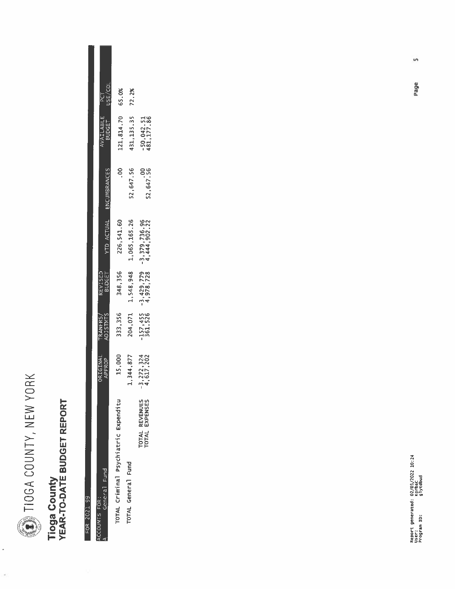

 $\ddot{\phantom{0}}$ 

 $\frac{1}{2}$ 

## Tioga County<br>YEAR-TO-DATE BUDGET REPORT

FOR 2021 99

|               | פבן כטו<br>PCT       | 65.0%                                | 72.2%              |                                |
|---------------|----------------------|--------------------------------------|--------------------|--------------------------------|
|               | AVAILABLE<br>BUDGET  | 121, 814.70                          | 431, 135. 35       | $-50,042.51$<br>$181,177.86$   |
|               | <b>ENCUMBRANCES</b>  | ိ<br>.                               | 52,647.56          | 52,647.56                      |
|               | YTD ACTUAL           | 226, 541.60                          | 1,065,165.26       | ,736.96<br>$-3,379,$           |
|               | REVISED<br>BUDGET    | 348,356                              | 1,548,948          | $-3,429,779$<br>4,978,728      |
|               | TRANFRS/<br>ADJSTMTS | 333,356                              | 204,071            | -157,455<br>361,526            |
|               | ORIGINAL<br>APPROP   | 15,000                               | 1,344,877          | $-3,272,324$<br>4,617,202      |
| ACCOUNTS FOR: | General Fund         | TOTAL Criminal Psychiatric Expenditu | TOTAL General Fund | TOTAL REVENUE<br>TOTAL EXPENSE |

Page

 $\sqrt{2}$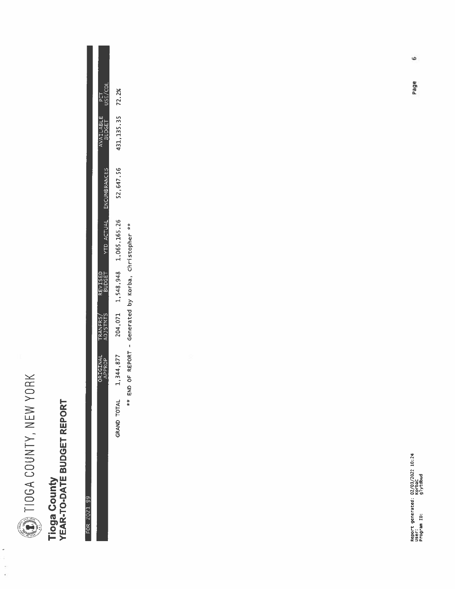

## Tioga County<br>YEAR-TO-DATE BUDGET REPORT

| አ<br>š |  |
|--------|--|
|        |  |
|        |  |
| I      |  |
| ļ      |  |
| Ú      |  |
| η      |  |
|        |  |
|        |  |
|        |  |
|        |  |
|        |  |

|         |                              |                     |                        |                   |                      | END OF REPORT - Generated by Korba, Christopher ** |                      |  |
|---------|------------------------------|---------------------|------------------------|-------------------|----------------------|----------------------------------------------------|----------------------|--|
|         | 431, 135. 35 72. 2%          | 52,647.56           | 1,548,948 1,065,165.26 |                   | 204,071              | 1,344,877                                          | TOTAL<br><b>RAND</b> |  |
| USE/COL | VAILABLE PCT<br>BUDGET USE/C | <b>ENCUMBRANCES</b> | <b>YTD ACTUAL</b>      |                   |                      |                                                    |                      |  |
|         |                              |                     |                        | REVISED<br>BUDGET | TRANFRS/<br>ADJSTMTS | RIGINAL<br>APPROP                                  |                      |  |

Page

 $\ddot{\circ}$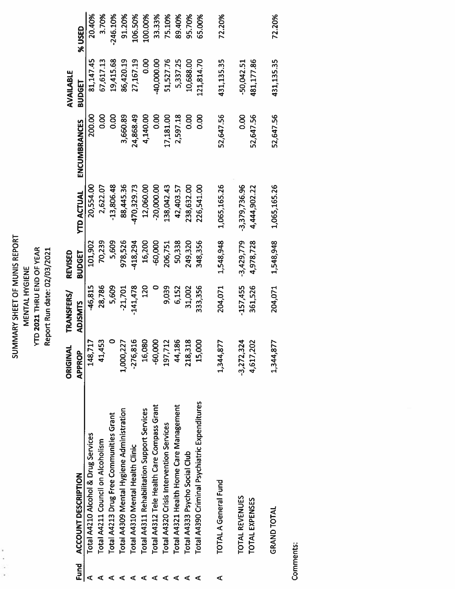#### **SUMMARY SHEET OF MUNIS REPORT<br>MENTAL HYGIENE<br>YTD 2021 THRU END OF YEAR<br>Report Run date: 02/03/2021**

|   |                                               | ORIGINAL                                | TRANSFERS/         | REVISED                |                                 |                        | AVAILABLE               |            |
|---|-----------------------------------------------|-----------------------------------------|--------------------|------------------------|---------------------------------|------------------------|-------------------------|------------|
|   | Fund ACCOUNT DESCRIPTION                      | <b>APPROP</b>                           | <b>ADJSMTS</b>     | <b>BUDGET</b>          | <b>YTD ACTUAL</b>               | ENCUMBRANCES           | <b>BUDGET</b>           | %USED      |
|   | Total A4210 Alcohol & Drug Services           | 148,717                                 | -46,815            | 101,902                | 20,554.00                       | 200.00                 | 81,147.45               | 20.40%     |
|   | Total A4211 Council on Alcoholism             | 41,453                                  | 28,786             | 70,239                 | 2,622.07                        | 0.00                   | 67,617.13               | 3.70%      |
|   | Total A4213 Drug Free Communities Grant       |                                         | 5,609              | 5,609                  | $-13,806.48$                    | 0.00                   | 19,415.68               | $-246.10%$ |
|   | Total A4309 Mental Hygiene Administration     | 1,000,227                               | $-21,701$          | 978,526                | 88,445.36                       | 3,660.89               | 86,420.19               | 91.20%     |
|   | Total A4310 Mental Health Clinic              | $-276,816$                              | 141,478            | 418,294                | 470,329.73                      | 24,868.49              | 27,167.19               | 106.50%    |
|   | Total A4311 Rehabilitation Support Services   | 16,080                                  | <b>220</b>         | 16,200                 | 12,060.00                       | 4,140.00               | 8<br>0.00               | 100.00%    |
|   | Total A4312 Tele Health Care Compass Grant    | $-60,000$                               |                    | $-60,000$              | $-20,000.00$                    | 0.00                   | 40,000.00               | 33.33%     |
|   | Total A4320 Crisis Intervention Services      | 197,71                                  | 9,039              | 206,751                | 138,042.43                      | 17,181.00              | 51,527.76               | 75.10%     |
|   | Total A4321 Health Home Care Management       | 44,186                                  | 6,152              | 50,338                 | 42,403.57                       | 2,597.18               | 5,337.25                | 89.40%     |
|   | Total A4333 Psycho Social Club                | $\mathbf{\underline{\infty}}$<br>218,31 | 31,002             | 249,320                | 238,632.00                      | 0.00                   | 10,688.00               | 95.70%     |
| ⋖ | Total A4390 Criminal Psychiatric Expenditures | 15,000                                  | 333,356            | 348,356                | 226,541.00                      | $\frac{8}{3}$          | 121,814.70              | 65.00%     |
| ⋖ | <b>TOTAL A General Fund</b>                   | 1,344,877                               | 204,071            | 1,548,948              | 1,065,165.26                    | 52,647.56              | 431,135.35              | 72.20%     |
|   | TOTAL REVENUES<br><b>TOTAL EXPENSES</b>       | $-3,272,324$<br>4,617,202               | 157,455<br>361,526 | 3,429,779<br>4,978,728 | $-3,379,736.96$<br>4,444,902.22 | <b>OO</b><br>52,647.56 | 481,177.86<br>50,042.51 |            |
|   | <b>GRAND TOTAL</b>                            | 1,344,877                               | 204,071            | 1,548,948              | 1,065,165.26                    | 52,647.56              | 431,135.35              | 72.20%     |

Comments: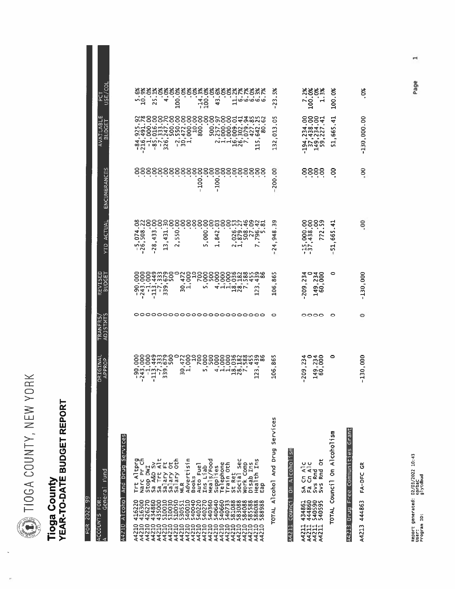10GA COUNTY, NEW YORK

## Tioga County<br>YEAR-TO-DATE BUDGET REPORT

| ၉                          |  |
|----------------------------|--|
| ď<br>Į<br>l<br>؟<br>م<br>۰ |  |
| ŀ                          |  |
|                            |  |

| Fund<br>General<br>FOR:<br>ACCOUNTS<br>A                                                                                                               | ORIGINAL<br>APPROP                                                                                                                     | <b>ADJSTMTS</b><br><b>TRANFRS</b> | REVISED<br>BUDGET                                        | ACTUAI<br>È                                                              | ENCUMBRANCES          | ш<br>AVAILABL<br><b>BUDGET</b>                                                                                                           | PCT<br>USE/COL                   |
|--------------------------------------------------------------------------------------------------------------------------------------------------------|----------------------------------------------------------------------------------------------------------------------------------------|-----------------------------------|----------------------------------------------------------|--------------------------------------------------------------------------|-----------------------|------------------------------------------------------------------------------------------------------------------------------------------|----------------------------------|
| <b>Services</b><br><b>Drug</b><br>And<br>Alcoho<br>A4210                                                                                               |                                                                                                                                        |                                   |                                                          |                                                                          |                       |                                                                                                                                          |                                  |
| Trt Altprg<br>Narc Pr Ch                                                                                                                               | 000<br>800<br>8<br>٠<br>$\ddot{}$<br>$\frac{1}{2}$ $\frac{1}{2}$ $\frac{1}{2}$ $\frac{1}{2}$ $\frac{1}{2}$ $\frac{1}{2}$ $\frac{1}{2}$ |                                   | ဒ္ဓဒ္ဓ<br>ğ<br>$-90.7 - 1$                               | 82<br>$rac{1}{208}$<br>'n,<br>٠<br>ن م<br>$\overline{N}$<br>٠            |                       | $\begin{array}{r} -84,925,92\\ -216,491,78\\ -15,000,00\\ -85,016,00\\ -7,333,000\\ -7,333,700\\ 326,247,70\\ 326,247,70\\  \end{array}$ | 8888<br>ື່ຊ                      |
|                                                                                                                                                        | $\bullet$<br>٠                                                                                                                         |                                   | $\overline{\phantom{a}}$<br>٠<br>$\frac{113}{7}$         | 88<br>8<br>×<br>z<br>$\sim$<br>4<br>$\bullet$<br>$\infty$<br>$\sim$<br>٠ |                       |                                                                                                                                          | $\ddot{ }$                       |
|                                                                                                                                                        | amano<br>4mpo<br>٠                                                                                                                     |                                   | odwen<br>Odwego<br>Odwego<br>٠<br>٠<br>o,<br>$\sim$<br>m | SO<br>8<br>$\overline{31}$<br>4<br>$\overline{a}$<br>w<br>$\mathbf -$    |                       |                                                                                                                                          | ఠక<br>4                          |
| Stop DWI<br>Sa A&D Sy<br>Sa Trt Alt<br>Salary Oth<br>Salary Oth<br>MLR<br>Mdvertisin                                                                   | Rg<br>4<br>$\approx -$                                                                                                                 |                                   | ٠<br>$\frac{1}{2}$                                       | 8<br>S<br>w<br>$\sim$                                                    |                       |                                                                                                                                          | 100.                             |
| Auto Fuel<br><b>Books</b>                                                                                                                              |                                                                                                                                        |                                   | 18988<br>٠                                               | 888                                                                      |                       |                                                                                                                                          |                                  |
| Ins Liab                                                                                                                                               | 989<br>8<br>LO <sub>1</sub><br>m                                                                                                       |                                   | 500<br>٠<br>m                                            | 8<br>8<br>000.<br>۱л                                                     | $\overline{5}$<br>I.  |                                                                                                                                          | $\frac{1}{100}$                  |
| Neals/Food<br>Supplies<br>Telephone<br>Train Oth                                                                                                       | So<br>000                                                                                                                              |                                   | 000<br>å,<br>4                                           | N<br>4<br>œ<br>٠<br>$\rightarrow$                                        | 100                   | 88288                                                                                                                                    | 43                               |
| St Ret<br>Social sec<br>Mork Comp                                                                                                                      | OBN8998<br>OM889588<br>OOHN44<br>÷,<br>÷<br>٠<br><b>4 22 32 4 3</b><br>ΗÑ                                                              | 00000000000000000000000           | oomamma<br>Comamma<br>Coodhata<br>ີ່∾ັ∞ົ່<br>って<br>۳     | 8888mh<br>46<br>٠<br>٠<br>$\sim$ $-1$                                    | 888888888888888888888 | 54                                                                                                                                       | <b>SSSSSS#SSSSSSXKKS#R</b>       |
| Work Comp<br>Disab Ins<br>Health Ins<br>Health<br>Eap                                                                                                  | ٠<br>23<br>ᆸ                                                                                                                           |                                   | m<br>$\mathbf{5}$                                        | 021<br>$\blacksquare$<br>$\sim$                                          |                       | 9825<br><b>80NO</b><br>4238<br>$\frac{5}{1}$<br>H                                                                                        | $\vec{a}$                        |
| Services<br>Alcohol And Drug<br>TOTAL                                                                                                                  | ın<br>٠<br>଼<br>106                                                                                                                    | o                                 | И<br>86<br>106                                           | o,<br>w<br>∞<br>$\vec{5}$<br>÷<br>4<br>N<br>ı                            | 200.00                | m<br>P<br>32,013                                                                                                                         | žŠ<br>٠<br>m<br>$\sim$<br>٠      |
| 등<br>Alcoholi<br>$\overline{\overline{\varepsilon}}$<br>Counci<br>A4211                                                                                |                                                                                                                                        |                                   |                                                          |                                                                          |                       |                                                                                                                                          |                                  |
| ő<br>U<br>ပ<br>$cn \land l$<br>$5A$ Cn Ald<br>Fa Cn Ald<br>Svs Rnd<br>Svs Rnd C<br>434860<br>444860<br>444860<br>4440595<br>442111<br>442111<br>442111 | 234<br>000<br>, 234<br>0<br>209<br>300<br>H                                                                                            | 0000                              | $-209, 234$<br>$149, 234$<br>$60, 000$                   | 8<br>၉၈<br>8<br>$rac{1}{438}$<br>772<br>52<br>×<br>⊣ന<br>٠               | 8888                  | 884<br>$\frac{484}{10000}$<br>2422<br>루                                                                                                  | ****<br>$\frac{7.3}{100}$<br>ੰਜ਼ |
| On Alcoholism<br>Counci <sup>1</sup><br><b>TOTAL</b>                                                                                                   | 0                                                                                                                                      | o                                 | 0                                                        | ᆏ<br>.<br>ب<br>51,665                                                    | 8                     | ਚ੍<br>665<br>٠<br>ដ                                                                                                                      | 100.0%                           |
| A4213 Drug Free Communities Gran                                                                                                                       |                                                                                                                                        |                                   |                                                          |                                                                          |                       |                                                                                                                                          |                                  |
| Ğ<br>FA-DFC<br>A4213 444863                                                                                                                            | $-130,000$                                                                                                                             | 0                                 | $-130,000$                                               | S.                                                                       | 8                     | $-130,000.00$                                                                                                                            | Š                                |

Page

 $\overline{a}$ 

 $-130,000.00$ 

 $\ddot{\circ}$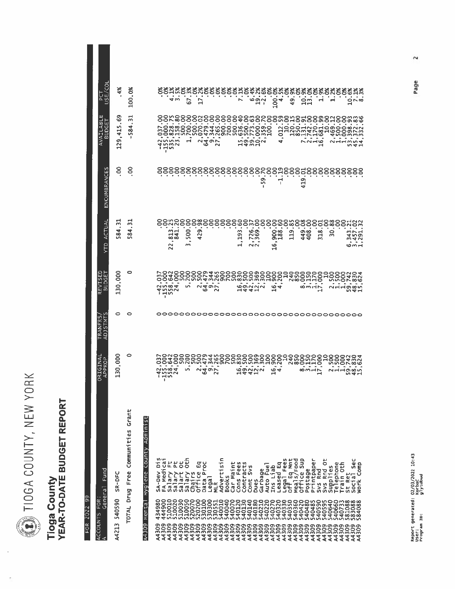D TIOGA COUNTY, NEW YORK

## Tioga County<br>YEAR-TO-DATE BUDGET REPORT

 $FOR$  2022 99

| FOR:<br><b>ACCOUNTS</b>                                          | ORIGINAL                                                    | TRANFRS,            | REVISED                                   |                                                        |                             | AVAILABL                                                                          |                               |
|------------------------------------------------------------------|-------------------------------------------------------------|---------------------|-------------------------------------------|--------------------------------------------------------|-----------------------------|-----------------------------------------------------------------------------------|-------------------------------|
| Fund<br>General<br>⋖                                             | APPROP                                                      | M<br><b>ADJSTMT</b> | <b>BUDGET</b>                             | ACTUAL<br>Ê                                            | ENCUMBRANCES                | ш<br>BUDGET                                                                       | <u>us</u><br>Ä.               |
| SR-DFC<br>540590<br>A4213                                        | 30,000<br>ᆸ                                                 | 0                   | 130,000                                   | 584.31                                                 | 8                           | 129, 415.69                                                                       | $4\%$                         |
| TOTAL Drug Free Communities Grant                                | o                                                           | o                   | o                                         | 584.31                                                 | 8                           | 584.31                                                                            | 100.0%                        |
| Hygiene County Administ<br>A4309 Mental                          |                                                             |                     |                                           |                                                        |                             |                                                                                   |                               |
| SA-Dev D1<br>34980<br>A4309                                      | 00400<br>$\bullet$<br>ï                                     |                     | 8<br>ဒ                                    |                                                        |                             |                                                                                   |                               |
|                                                                  | $\bullet$<br>$\blacksquare$<br>J LA 00<br><b>4000</b><br>⊣ഗ |                     | 642<br>000<br>$2.7 - 7$<br>14mu           | ೦೦೫<br>$\frac{1}{2}$<br>٠<br>54<br>٠<br>$\overline{2}$ |                             | 000.00<br>Ū,<br><b>SMN</b><br>$-1$<br>ï                                           | ٠                             |
| FA Medicai<br>Salary Ft<br>Salary Pt<br>Salary Oth<br>Salary Oth | 4                                                           |                     | S <sub>00</sub>                           | 8<br>$\overline{c}$<br>÷<br>H                          |                             | 288<br>3283.00<br>ີ້                                                              | 88888<br>$\frac{1}{2}$ m      |
|                                                                  | 500                                                         |                     | 200<br>in.                                | 8<br>500.<br>m                                         | 888888888888888             | 700.00                                                                            | ٠<br>×<br>57                  |
| ដូ<br>Chairs<br>Office                                           |                                                             |                     | 500                                       | 8<br>38<br>٠                                           |                             |                                                                                   |                               |
| Proc<br>Data                                                     | $^{240}$ $^{20}$ $^{20}$                                    |                     | S00<br>479                                | 8<br>×<br>ō<br>N<br>4                                  |                             | °.<br>8<br>0.07<br>479<br>٠<br>くすので                                               | ٠<br>$\overline{a}$           |
| Legal<br>MLR                                                     |                                                             |                     | 344<br>265                                | 8                                                      |                             | $\epsilon$<br>ie.<br>٠                                                            |                               |
| Σ,<br>Advertisi                                                  |                                                             |                     |                                           | 8                                                      |                             | 8<br>٠                                                                            |                               |
| <b>Books</b>                                                     |                                                             |                     |                                           | 88                                                     |                             | S<br>8                                                                            |                               |
| Car Maint                                                        |                                                             |                     |                                           | 8                                                      |                             |                                                                                   |                               |
| Cons Fees<br>Contracts                                           | ww4ww9rw8wwww<br>00r4m000090000<br>0094m00000000<br>おねれひっ   |                     | ᅴ                                         | ငွ<br>$\ddot{ }$<br>Ø.<br>a<br>$\blacksquare$          |                             | $8\overline{a}$<br>WARD DR. 2009                                                  | ***********                   |
| 5v <sub>5</sub><br>Cont                                          |                                                             |                     | 500<br>4                                  |                                                        |                             | 80888                                                                             | ڡ                             |
| Dues                                                             |                                                             |                     | ฐ⊣                                        | 8<br>729.1<br>×,<br>$\sim$                             |                             |                                                                                   | $\vec{\phantom{a}}$           |
| Garbage<br>Auto Fuel                                             |                                                             |                     | 000000                                    | 8                                                      | 88<br>$\bullet$<br>59.<br>п | ٠                                                                                 | $\sigma$ N<br>J.              |
| Ins Liab                                                         | 8<br>Ф                                                      |                     |                                           | 8<br>$\frac{6}{11}$                                    |                             | $\bullet$                                                                         |                               |
| Leased Eq                                                        | 88<br>ന്<br>4                                               |                     | $\phi$ d                                  | 8<br>င္ၿ<br>--<br>988<br>981                           | 89<br>J.                    | 8                                                                                 | క<br>న<br>$\dot{\mathsf{e}}$  |
|                                                                  |                                                             |                     | $\mathsf{a}$                              | 8                                                      |                             | ္ဗာခ                                                                              | క<br>4                        |
| Legal Fees<br>Off Eq Mnt<br>Meals/Food                           |                                                             |                     | 3888280<br>288828                         | ∞<br>119.                                              | 888                         | 4.0120011120111120111120111120111120111120111120111120111120111120111120111120111 | ٠<br>$\frac{9}{4}$            |
| office Sup                                                       |                                                             |                     |                                           | 88885                                                  |                             | 5258                                                                              |                               |
| Postage                                                          |                                                             |                     | ののトレ                                      | $-408$                                                 | ٠<br>Ō,<br>$\frac{1}{4}$    |                                                                                   | $\ddot{a}$                    |
| Printpaper                                                       |                                                             |                     |                                           |                                                        |                             | 8                                                                                 |                               |
| Svs Rnd                                                          |                                                             |                     |                                           | 318                                                    |                             | ஜ<br>.681.<br><u>َمِ</u>                                                          | $\vec{a}$                     |
| Rnd Ot<br>$5\sqrt{5}$                                            |                                                             |                     | $\Omega$                                  | ဒ္ဓွ                                                   |                             | 8<br>$\frac{1}{2}$                                                                |                               |
| Supplies<br>Telephone                                            |                                                             |                     | <b>SSS</b><br>$N + r$                     | 8<br>۰<br>ഩഁ                                           |                             | ᆏ<br>$\bullet$<br>$\overline{N}$ $\overline{N}$                                   | ***********<br>$\blacksquare$ |
| Train Oth                                                        |                                                             |                     | 8                                         |                                                        |                             | þ,<br>$\bullet$<br>$\ddot{\cdot}$                                                 |                               |
| Sec<br>St Ret<br>Social                                          |                                                             |                     | m                                         |                                                        |                             | ٠                                                                                 |                               |
| Comp<br><b>WOrk</b>                                              | 28884%%<br>284                                              |                     | 4 w V<br>$\infty$ $\infty$<br>⊣ ຫ⊗ທ<br>44 | <b>SHS2</b><br>٠<br>34571<br>34571<br>மீளீ்            | 5888888888                  | ထယ<br>٠<br>mm4<br>いみー                                                             | Ax<br>13<br>$2^{\sim}$        |
|                                                                  |                                                             |                     |                                           |                                                        |                             |                                                                                   |                               |

Page

 $\sim$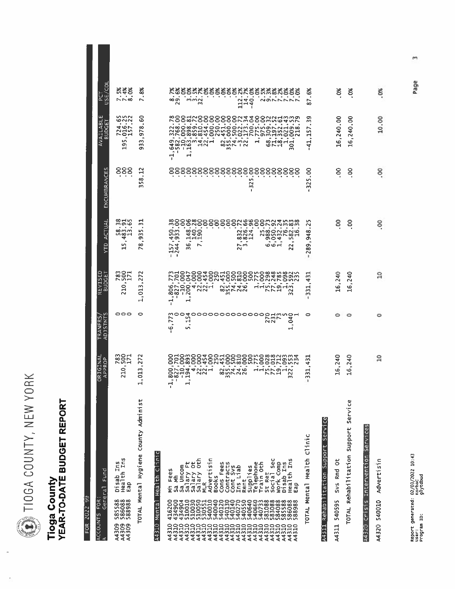DIOGA COUNTY, NEW YORK

## Tioga County<br>YEAR-TO-DATE BUDGET REPORT

FOR 2022 99

| ORIGINAL<br>APPROP                              | U.<br><b>ADJSTMT</b>                                                                                                  | <b>REVISED</b><br>BUDGET                          | <b>YTD ACTUAL</b>                                                                                                                                                                                               | ENCUMBRANCES                                                                                                                                                                                                                                    | <b>BUDGET</b>                                          | PCT<br>USE/COL                          |
|-------------------------------------------------|-----------------------------------------------------------------------------------------------------------------------|---------------------------------------------------|-----------------------------------------------------------------------------------------------------------------------------------------------------------------------------------------------------------------|-------------------------------------------------------------------------------------------------------------------------------------------------------------------------------------------------------------------------------------------------|--------------------------------------------------------|-----------------------------------------|
| 2801<br>2801<br>291<br>210                      | 000                                                                                                                   | <b>28011</b><br>2007<br>210                       | 815<br>60<br>$\mathcal{A}$<br>00 m m<br>n 20 H<br>$\overline{a}$<br>S<br>Ħ                                                                                                                                      | 888                                                                                                                                                                                                                                             | nnn<br>evin<br>7257.<br>٠<br>S<br>به                   | <b>2838</b><br>N <sub>0</sub>           |
| 272<br>,013,<br>$\overline{ }$                  | o                                                                                                                     | 27.<br>1,013                                      | ಸ<br>S<br>ā.<br>∞<br>$\tilde{}$                                                                                                                                                                                 | 3<br>∞<br>S<br>$\mathbf{r}$                                                                                                                                                                                                                     | 0<br>Ō<br>$\bullet$<br>978<br>$\bullet$<br>ω<br>m<br>ō | 8%<br>$\bullet$<br>$\sim$               |
|                                                 |                                                                                                                       |                                                   |                                                                                                                                                                                                                 |                                                                                                                                                                                                                                                 |                                                        |                                         |
| 800<br>×<br>J.<br>$\overline{\phantom{0}}$<br>٠ | Ñ<br>↖<br>$\ddot{\phantom{a}}$<br>6<br>٠                                                                              | $-1,$<br>٠                                        | $\bullet$<br>$\mathbf{I}$<br>÷                                                                                                                                                                                  |                                                                                                                                                                                                                                                 | ų                                                      | <b>∞</b> တ                              |
|                                                 |                                                                                                                       |                                                   |                                                                                                                                                                                                                 |                                                                                                                                                                                                                                                 |                                                        |                                         |
| ٠                                               |                                                                                                                       |                                                   | $\overline{\phantom{a}}$                                                                                                                                                                                        |                                                                                                                                                                                                                                                 |                                                        | min<br>m                                |
| ٠                                               |                                                                                                                       | ٠                                                 |                                                                                                                                                                                                                 |                                                                                                                                                                                                                                                 |                                                        |                                         |
|                                                 |                                                                                                                       |                                                   |                                                                                                                                                                                                                 |                                                                                                                                                                                                                                                 |                                                        |                                         |
| $\sim$                                          |                                                                                                                       | W                                                 |                                                                                                                                                                                                                 |                                                                                                                                                                                                                                                 |                                                        |                                         |
|                                                 |                                                                                                                       | $\bullet$<br>$\overline{a}$                       | $\blacksquare$<br>$\blacksquare$<br>$\sim$                                                                                                                                                                      |                                                                                                                                                                                                                                                 |                                                        |                                         |
|                                                 |                                                                                                                       | $\bullet$                                         | ٠                                                                                                                                                                                                               | ٠,<br><b>In</b><br>$\overline{3}$<br>ı                                                                                                                                                                                                          |                                                        | $\bullet$<br>$\frac{114}{140}$ .        |
|                                                 |                                                                                                                       |                                                   | ٠<br>$\sim$                                                                                                                                                                                                     |                                                                                                                                                                                                                                                 |                                                        |                                         |
|                                                 |                                                                                                                       |                                                   |                                                                                                                                                                                                                 |                                                                                                                                                                                                                                                 |                                                        |                                         |
|                                                 |                                                                                                                       |                                                   |                                                                                                                                                                                                                 |                                                                                                                                                                                                                                                 |                                                        |                                         |
| $\ddot{\Omega}$                                 | ٠<br>$\mathbf +$                                                                                                      | $\sim$<br>m                                       | $\frac{8}{5}$<br>ᆋ<br>22                                                                                                                                                                                        |                                                                                                                                                                                                                                                 |                                                        | Kössäksssässäkkssäkäkssä<br>NONNNNN     |
| ಸ<br>4<br>331                                   | 0                                                                                                                     | 431<br>٠.<br>닠<br>m<br>1                          | S<br>N<br>œ<br>$\ddot{a}$<br>٠<br>289                                                                                                                                                                           | ີ<br>.<br>325<br>ı                                                                                                                                                                                                                              | Ō<br>w<br>52<br>ਜੁ<br>$\frac{41}{5}$                   | డ<br>×<br>87                            |
|                                                 |                                                                                                                       |                                                   |                                                                                                                                                                                                                 |                                                                                                                                                                                                                                                 |                                                        |                                         |
| 16,240                                          | ≏                                                                                                                     | 16,240                                            | 8                                                                                                                                                                                                               | 8                                                                                                                                                                                                                                               | 16,240.00                                              | క                                       |
| 16,240                                          | 0                                                                                                                     | 16,240                                            | 8                                                                                                                                                                                                               | 8                                                                                                                                                                                                                                               | 16,240.00                                              | క                                       |
|                                                 |                                                                                                                       |                                                   |                                                                                                                                                                                                                 |                                                                                                                                                                                                                                                 |                                                        |                                         |
| $\boldsymbol{\mathsf{s}}$                       | o                                                                                                                     | ្អ                                                | ş                                                                                                                                                                                                               | 8.                                                                                                                                                                                                                                              | 10.00                                                  | క                                       |
|                                                 | 2724<br>٠<br>0.0440<br>$\frac{1}{2}$<br>$\sim$<br><b>00 MNNN</b><br>$\overline{\phantom{a}}$<br>$\mathbf{\mathbf{r}}$ | moo<br>₩<br>S<br>H<br>$\blacksquare$<br><b>in</b> | <b>225</b><br>225<br>OOO40M40M80MK0MMK0MW<br>1400m0MM00H00K004800M<br>1500400H000Q0M0889M80M<br>$\blacksquare$<br>$\bullet$<br>٠<br>٠<br>ล่สัตวรังสัตว์<br><b>AUNA</b><br>25446<br>៙៷៓៴៷៷<br>$\sim$<br>フレコ<br>ᅼ | <b>\$888\$88888882\$\$888\$\$\$\$\$\$\$\$\$\$\$</b><br>$\bullet$<br>-----<br>##8<br>$\;$<br>$1,450$<br>$-1,933$<br>$\sim$ $\sim$ $\sim$<br>0.21<br>004<br>$\bullet$<br>$\ddot{\circ} \ddot{\circ} - \ddot{\circ}$<br>G<br>157<br>244<br>⊳m<br>m | 88888888888888888888                                   | $\mathbf{\mathbf{r}}$<br>$\blacksquare$ |

 $\mathsf{m}$ Page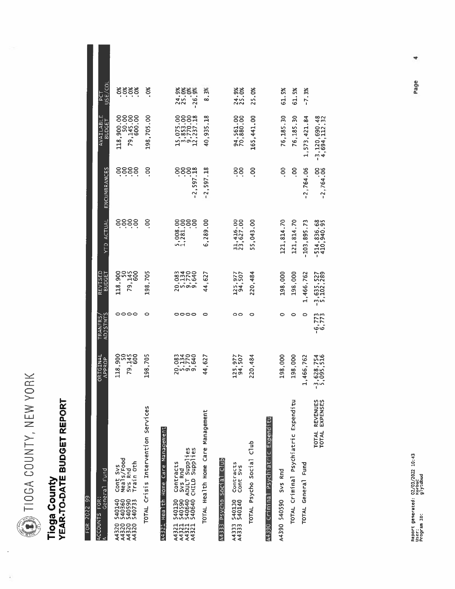DIIOGA COUNTY, NEW YORK

### Tioga County<br>YEAR-TO-DATE BUDGET REPORT

| FOR 2022 99                                                                                                                             |                                |                                   |                             |                                  |                          |                                                                                              |                   |
|-----------------------------------------------------------------------------------------------------------------------------------------|--------------------------------|-----------------------------------|-----------------------------|----------------------------------|--------------------------|----------------------------------------------------------------------------------------------|-------------------|
| General Fund<br>ACCOUNTS FOR:                                                                                                           | ORIGINAL<br>APPROP             | <b>ADJSTMTS</b><br><b>TRANFRS</b> | REVISED<br><b>BUDGET</b>    | YTD ACTUAL                       | ENCUMBRANCES             | AVAILABLE<br><b>BUDGET</b>                                                                   | JSE/COI<br>5<br>E |
| Cont Svs<br>Meals/Food<br>Svs Rnd<br>Train Oth<br>5401400<br>5403907<br>5405907<br>540733<br>22000<br>23200<br>24320<br>24320           | 118,900<br>50<br>79,145<br>600 | 0000                              | 118,900<br>79,145<br>79,145 | ဒိုဒိုဒိုဒို                     | 8888                     | $\begin{array}{c} 118\,, 900\,, 00\\ 79\,, 145\,, 00\\ 79\,, 145\,, 00\\ 600\,. \end{array}$ | 8888              |
| TOTAL Crisis Intervention Services                                                                                                      | 198,705                        | o                                 | 198,705                     | S                                | 8                        | 198,705.00                                                                                   | ž,                |
| A4321 Health Home Care Management                                                                                                       |                                |                                   |                             |                                  |                          |                                                                                              |                   |
| 540590 Svs Rnd<br>540640 ADULT Supplies<br>540640 CHILD Supplies<br>Contracts<br>540130<br>540590<br>43211<br>443211<br>443211<br>44321 | 2021<br>2177640<br>2010        | 0000                              |                             | 5,008.00<br>1,281.00<br>1,281.00 | 81.765'2--<br>000<br>000 | 15,075.00<br>3,3853.00<br>12,237.18                                                          | 33335             |
| TOTAL Health Home Care Management                                                                                                       | 44,627                         | 0                                 | 44,627                      | 6,289.00                         | $-2, 597.18$             | 40,935.18                                                                                    | 8.3%              |
| en io<br>A4333 Psycho Social                                                                                                            |                                |                                   |                             |                                  |                          |                                                                                              |                   |
| Contracts<br>Cont Svs<br>540130<br>540140<br>A4333<br>A4333                                                                             | 125,977<br>94,507              | 00                                | 125,977<br>94,507           | 31,416.00<br>23,627.00           | 88<br>.                  | 94,561.00<br>70,880.00                                                                       | 24.9%<br>25.0%    |
| TOTAL Psycho Social Club                                                                                                                | 220,484                        | o                                 | 220,484                     | 55,043.00                        | ខ្ញុ                     | 165,441.00                                                                                   | 25.0%             |
| A4390 Criminal Psychiatric Expenditu                                                                                                    |                                |                                   |                             |                                  |                          |                                                                                              |                   |
| A4390 540590 Svs Rnd                                                                                                                    | 198,000                        |                                   | 198,000                     | 121, 814.70                      | $\tilde{e}$              | 76,185.30                                                                                    | 61.5%             |
| TOTAL Criminal Psychiatric Expenditu                                                                                                    | 198,000                        | ۰                                 | 198,000                     | 121, 814.70                      | ိ                        | 76,185.30                                                                                    | 61.5%             |
| TOTAL General Fund                                                                                                                      | 1,466,762                      | 0                                 | 1,466,762                   | $-103, 895.73$                   | $-2,764.06$              | 1,573,421.84                                                                                 | $-7.3%$           |
| TOTAL REVENUES<br>EXPENSES<br><b>TOTAL</b>                                                                                              | $-3,628,754$<br>5,095,516      | $-6,773$<br>6,773                 | $-3,635,527$<br>5,102,289   | $-514, 836.68$<br>410,940.95     | $-2,764.06$              | $-3, 120, 690, 48$<br>4,694,112,32                                                           |                   |

Page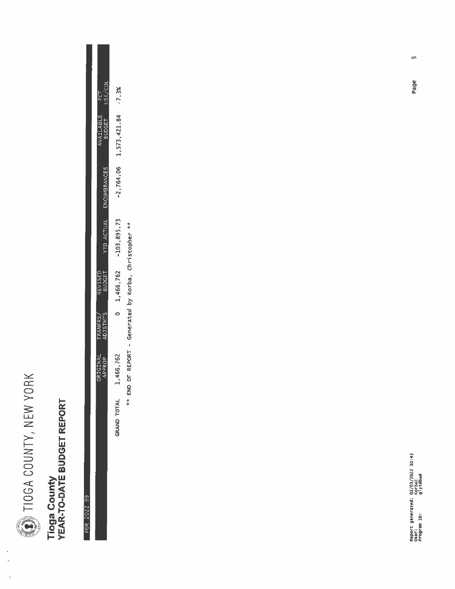

 $\frac{1}{2}$ 

ÿ

# Tioga County<br>YEAR-TO-DATE BUDGET REPORT

#### FOR 2022 99

|         |                                |                         |                 | END OF REPORT - Generated by Korba, Christopher ** |                      |                           | 女女                   |  |
|---------|--------------------------------|-------------------------|-----------------|----------------------------------------------------|----------------------|---------------------------|----------------------|--|
|         | $-2,764.06$ 1,573,421.84 -7.3% |                         | $-103, 895, 73$ | 1,466,762                                          |                      | 1,466,762                 | <b>TOTAL</b><br>RAND |  |
| USE/COL | WAILABLE                       | YTD ACTUAL ENCUMBRANCES |                 | REVISED<br>BUDGET                                  | TRANFRS/<br>ADJSTMTS | <b>BRIGINAL</b><br>APPROP |                      |  |
|         |                                |                         |                 |                                                    |                      |                           |                      |  |

Page

ín,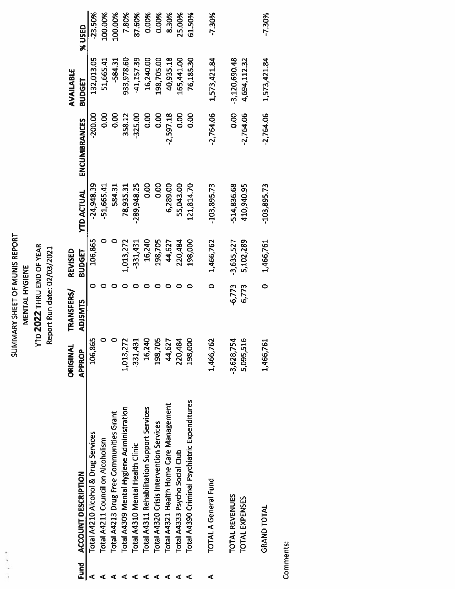#### SUMMARY SHEET OF MUNIS REPORT **YTD 2022 THRU END OF YEAR** MENTAL HYGIENE

 $\mathcal{L}^{\text{max}}$ 

à

#### Report Run date: 02/03/2021

|   |                                               | ORIGINAL      | <b>TRANSFERS/</b> | REVISED       |                   |              | AVAILABLE       |           |
|---|-----------------------------------------------|---------------|-------------------|---------------|-------------------|--------------|-----------------|-----------|
|   | Fund ACCOUNT DESCRIPTION                      | <b>APPROP</b> | <b>ADJSMTS</b>    | <b>BUDGET</b> | <b>YTD ACTUAL</b> | ENCUMBRANCES | BUDGET          | %USED     |
|   | Total A4210 Alcohol & Drug Services           | 106,865       |                   | 106,865       | $-24,948.39$      | $-200.00$    | 132,013.05      | $-23.50%$ |
|   | Total A4211 Council on Alcoholism             |               |                   |               | $-51,665.41$      | <b>0.00</b>  | 51,665.41       | 100.00%   |
|   | Total A4213 Drug Free Communities Grant       |               |                   |               | 584.31            | 0.00         | $-584.31$       | 100.00%   |
|   | Total A4309 Mental Hygiene Administration     | 1,013,27      |                   | 1,013,272     | 78,935.31         | 358.12       | 933,978.60      | 7.80%     |
|   | Total A4310 Mental Health Clinic              | $-331,43$     |                   | $-331,431$    | $-289,948.25$     | $-325.00$    | $-41,157.39$    | 87.60%    |
|   | Total A4311 Rehabilitation Support Services   | 16,24         |                   | 16,240        | 0.00              | 0.00         | 16,240.00       | 0.00%     |
|   | Total A4320 Crisis Intervention Services      | 198,70        |                   | 198,705       | 0.00              | <b>0.00</b>  | 198,705.00      | 0.00%     |
|   | Total A4321 Health Home Care Management       | 44,62         |                   | 44,627        | 6,289.00          | $-2,597.18$  | 40,935.18       | 8.30%     |
|   | Total A4333 Psycho Social Club                | 220,48        |                   | 220,484       | 55,043.00         | 0.00         | 165,441.00      | 25.00%    |
|   | Total A4390 Criminal Psychiatric Expenditures | 198,000       |                   | 198,000       | 121,814.70        | 0.00         | 76,185.30       | 61.50%    |
| ⋖ | <b>TOTAL A General Fund</b>                   | 1,466,762     |                   | 1,466,762     | $-103,895.73$     | $-2,764.06$  | 1,573,421.84    | $-7.30%$  |
|   | <b>TOTAL REVENUES</b>                         | $-3,628,75$   | $-6,773$          | $-3,635,527$  | 514,836.68        | 0.00         | $-3,120,690.48$ |           |
|   | <b>TOTAL EXPENSES</b>                         | 5,095,51      | 6,773             | 5,102,289     | 410,940.95        | $-2,764.06$  | 4,694,112.32    |           |

Comments:

**GRAND TOTAL** 

 $-7.30%$ 

1,573,421.84

 $-2,764.06$ 

 $-103,895.73$ 

 $0$  1,466,761

1,466,761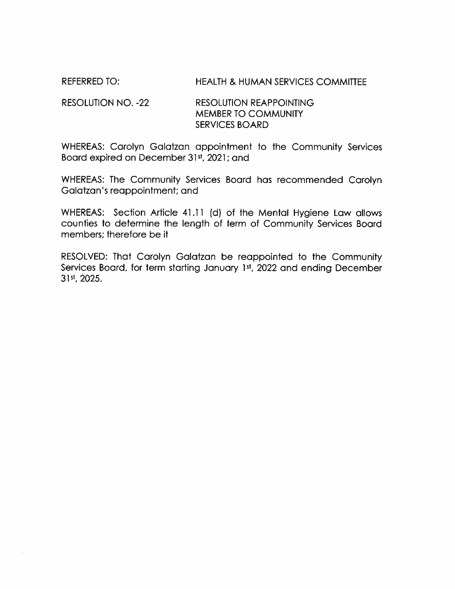**REFERRED TO:** 

#### **HEALTH & HUMAN SERVICES COMMITTEE**

#### **RESOLUTION NO. -22 RESOLUTION REAPPOINTING MEMBER TO COMMUNITY SERVICES BOARD**

WHEREAS: Carolyn Galatzan appointment to the Community Services Board expired on December 31st, 2021; and

WHEREAS: The Community Services Board has recommended Carolyn Galatzan's reappointment; and

WHEREAS: Section Article 41.11 (d) of the Mental Hygiene Law allows counties to determine the length of term of Community Services Board members: therefore be it

RESOLVED: That Carolyn Galatzan be reappointed to the Community Services Board, for term starting January 1st, 2022 and ending December 31st, 2025.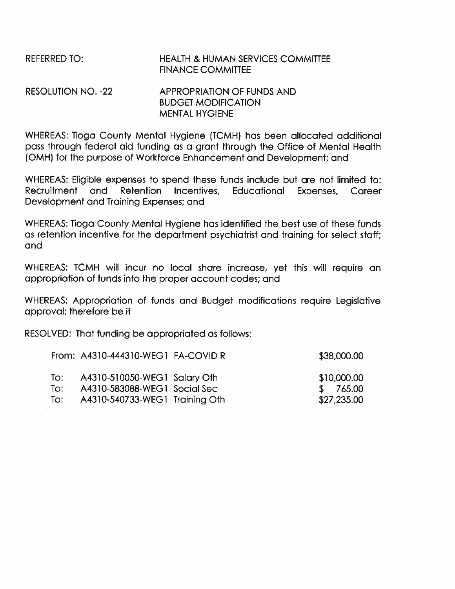#### **REFERRED TO: HEALTH & HUMAN SERVICES COMMITTEF FINANCE COMMITTEE RESOLUTION NO. -22 APPROPRIATION OF FUNDS AND BUDGET MODIFICATION**

WHEREAS: Tioga County Mental Hygiene (TCMH) has been allocated additional pass through federal aid funding as a grant through the Office of Mental Health (OMH) for the purpose of Workforce Enhancement and Development; and

**MENTAL HYGIENE** 

WHEREAS: Eligible expenses to spend these funds include but are not limited to: and Retention Educational Recruitment Incentives. Expenses, Career Development and Training Expenses; and

WHEREAS: Tioga County Mental Hygiene has identified the best use of these funds as retention incentive for the department psychiatrist and training for select staff; and

WHEREAS: TCMH will incur no local share increase, yet this will require an appropriation of funds into the proper account codes; and

WHEREAS: Appropriation of funds and Budget modifications require Legislative approval; therefore be it

RESOLVED: That funding be appropriated as follows:

| From: A4310-444310-WEG1 FA-COVID R |                                | \$38,000.00 |
|------------------------------------|--------------------------------|-------------|
| To:                                | A4310-510050-WEG1 Salary Oth   | \$10,000.00 |
| To:                                | A4310-583088-WEG1 Social Sec   | \$765.00    |
| To:                                | A4310-540733-WEG1 Training Oth | \$27,235.00 |